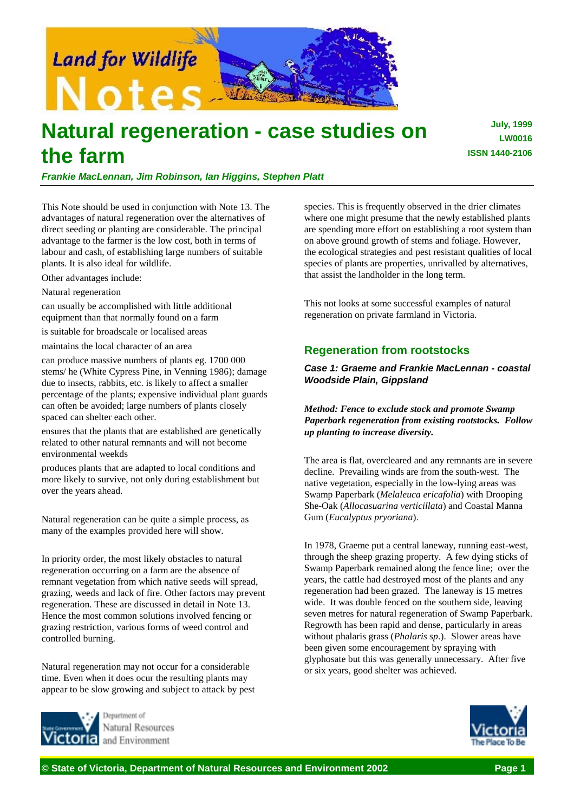

# **Natural regeneration - case studies on the farm**

*Frankie MacLennan, Jim Robinson, Ian Higgins, Stephen Platt*

This Note should be used in conjunction with Note 13. The advantages of natural regeneration over the alternatives of direct seeding or planting are considerable. The principal advantage to the farmer is the low cost, both in terms of labour and cash, of establishing large numbers of suitable plants. It is also ideal for wildlife.

Other advantages include:

Natural regeneration

can usually be accomplished with little additional equipment than that normally found on a farm

is suitable for broadscale or localised areas

maintains the local character of an area

can produce massive numbers of plants eg. 1700 000 stems/ he (White Cypress Pine, in Venning 1986); damage due to insects, rabbits, etc. is likely to affect a smaller percentage of the plants; expensive individual plant guards can often be avoided; large numbers of plants closely spaced can shelter each other.

ensures that the plants that are established are genetically related to other natural remnants and will not become environmental weekds

produces plants that are adapted to local conditions and more likely to survive, not only during establishment but over the years ahead.

Natural regeneration can be quite a simple process, as many of the examples provided here will show.

In priority order, the most likely obstacles to natural regeneration occurring on a farm are the absence of remnant vegetation from which native seeds will spread, grazing, weeds and lack of fire. Other factors may prevent regeneration. These are discussed in detail in Note 13. Hence the most common solutions involved fencing or grazing restriction, various forms of weed control and controlled burning.

Natural regeneration may not occur for a considerable time. Even when it does ocur the resulting plants may appear to be slow growing and subject to attack by pest



Natural Resources and Environment

species. This is frequently observed in the drier climates where one might presume that the newly established plants are spending more effort on establishing a root system than on above ground growth of stems and foliage. However, the ecological strategies and pest resistant qualities of local species of plants are properties, unrivalled by alternatives, that assist the landholder in the long term.

This not looks at some successful examples of natural regeneration on private farmland in Victoria.

# **Regeneration from rootstocks**

*Case 1: Graeme and Frankie MacLennan - coastal Woodside Plain, Gippsland*

*Method: Fence to exclude stock and promote Swamp Paperbark regeneration from existing rootstocks. Follow up planting to increase diversity.*

The area is flat, overcleared and any remnants are in severe decline. Prevailing winds are from the south-west. The native vegetation, especially in the low-lying areas was Swamp Paperbark (*Melaleuca ericafolia*) with Drooping She-Oak (*Allocasuarina verticillata*) and Coastal Manna Gum (*Eucalyptus pryoriana*).

In 1978, Graeme put a central laneway, running east-west, through the sheep grazing property. A few dying sticks of Swamp Paperbark remained along the fence line; over the years, the cattle had destroyed most of the plants and any regeneration had been grazed. The laneway is 15 metres wide. It was double fenced on the southern side, leaving seven metres for natural regeneration of Swamp Paperbark. Regrowth has been rapid and dense, particularly in areas without phalaris grass (*Phalaris sp*.). Slower areas have been given some encouragement by spraying with glyphosate but this was generally unnecessary. After five or six years, good shelter was achieved.



**July, 1999 LW0016 ISSN 1440-2106**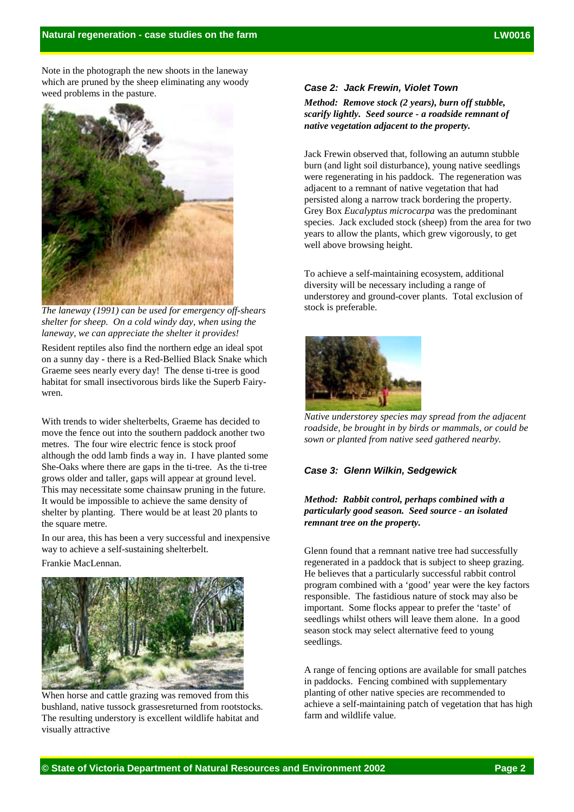Note in the photograph the new shoots in the laneway which are pruned by the sheep eliminating any woody weed problems in the pasture.



*The laneway (1991) can be used for emergency off-shears shelter for sheep. On a cold windy day, when using the laneway, we can appreciate the shelter it provides!*

Resident reptiles also find the northern edge an ideal spot on a sunny day - there is a Red-Bellied Black Snake which Graeme sees nearly every day! The dense ti-tree is good habitat for small insectivorous birds like the Superb Fairywren.

With trends to wider shelterbelts, Graeme has decided to move the fence out into the southern paddock another two metres. The four wire electric fence is stock proof although the odd lamb finds a way in. I have planted some She-Oaks where there are gaps in the ti-tree. As the ti-tree grows older and taller, gaps will appear at ground level. This may necessitate some chainsaw pruning in the future. It would be impossible to achieve the same density of shelter by planting. There would be at least 20 plants to the square metre.

In our area, this has been a very successful and inexpensive way to achieve a self-sustaining shelterbelt.

Frankie MacLennan.



When horse and cattle grazing was removed from this bushland, native tussock grassesreturned from rootstocks. The resulting understory is excellent wildlife habitat and visually attractive

#### *Case 2: Jack Frewin, Violet Town*

*Method: Remove stock (2 years), burn off stubble, scarify lightly. Seed source - a roadside remnant of native vegetation adjacent to the property.*

Jack Frewin observed that, following an autumn stubble burn (and light soil disturbance), young native seedlings were regenerating in his paddock. The regeneration was adjacent to a remnant of native vegetation that had persisted along a narrow track bordering the property. Grey Box *Eucalyptus microcarpa* was the predominant species. Jack excluded stock (sheep) from the area for two years to allow the plants, which grew vigorously, to get well above browsing height.

To achieve a self-maintaining ecosystem, additional diversity will be necessary including a range of understorey and ground-cover plants. Total exclusion of stock is preferable.



*Native understorey species may spread from the adjacent roadside, be brought in by birds or mammals, or could be sown or planted from native seed gathered nearby.*

#### *Case 3: Glenn Wilkin, Sedgewick*

### *Method: Rabbit control, perhaps combined with a particularly good season. Seed source - an isolated remnant tree on the property.*

Glenn found that a remnant native tree had successfully regenerated in a paddock that is subject to sheep grazing. He believes that a particularly successful rabbit control program combined with a 'good' year were the key factors responsible. The fastidious nature of stock may also be important. Some flocks appear to prefer the 'taste' of seedlings whilst others will leave them alone. In a good season stock may select alternative feed to young seedlings.

A range of fencing options are available for small patches in paddocks. Fencing combined with supplementary planting of other native species are recommended to achieve a self-maintaining patch of vegetation that has high farm and wildlife value.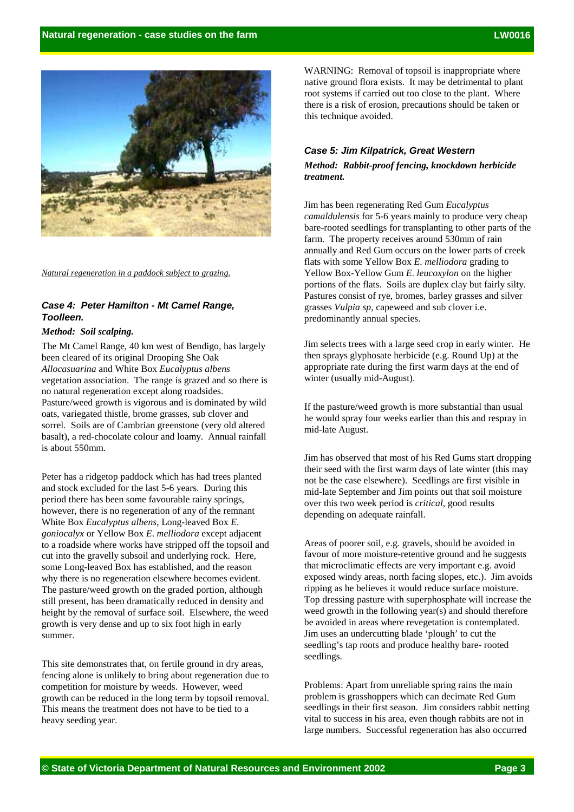

*Natural regeneration in a paddock subject to grazing.*

## *Case 4: Peter Hamilton - Mt Camel Range, Toolleen.*

## *Method: Soil scalping.*

The Mt Camel Range, 40 km west of Bendigo, has largely been cleared of its original Drooping She Oak *Allocasuarina* and White Box *Eucalyptus albens* vegetation association. The range is grazed and so there is no natural regeneration except along roadsides. Pasture/weed growth is vigorous and is dominated by wild oats, variegated thistle, brome grasses, sub clover and sorrel. Soils are of Cambrian greenstone (very old altered basalt), a red-chocolate colour and loamy. Annual rainfall is about 550mm.

Peter has a ridgetop paddock which has had trees planted and stock excluded for the last 5-6 years. During this period there has been some favourable rainy springs, however, there is no regeneration of any of the remnant White Box *Eucalyptus albens*, Long-leaved Box *E*. *goniocalyx* or Yellow Box *E*. *melliodora* except adjacent to a roadside where works have stripped off the topsoil and cut into the gravelly subsoil and underlying rock. Here, some Long-leaved Box has established, and the reason why there is no regeneration elsewhere becomes evident. The pasture/weed growth on the graded portion, although still present, has been dramatically reduced in density and height by the removal of surface soil. Elsewhere, the weed growth is very dense and up to six foot high in early summer.

This site demonstrates that, on fertile ground in dry areas, fencing alone is unlikely to bring about regeneration due to competition for moisture by weeds. However, weed growth can be reduced in the long term by topsoil removal. This means the treatment does not have to be tied to a heavy seeding year.

WARNING: Removal of topsoil is inappropriate where native ground flora exists. It may be detrimental to plant root systems if carried out too close to the plant. Where there is a risk of erosion, precautions should be taken or this technique avoided.

### *Case 5: Jim Kilpatrick, Great Western*

*Method: Rabbit-proof fencing, knockdown herbicide treatment.*

Jim has been regenerating Red Gum *Eucalyptus camaldulensis* for 5-6 years mainly to produce very cheap bare-rooted seedlings for transplanting to other parts of the farm. The property receives around 530mm of rain annually and Red Gum occurs on the lower parts of creek flats with some Yellow Box *E*. *melliodora* grading to Yellow Box-Yellow Gum *E*. *leucoxylon* on the higher portions of the flats. Soils are duplex clay but fairly silty. Pastures consist of rye, bromes, barley grasses and silver grasses *Vulpia sp*, capeweed and sub clover i.e. predominantly annual species.

Jim selects trees with a large seed crop in early winter. He then sprays glyphosate herbicide (e.g. Round Up) at the appropriate rate during the first warm days at the end of winter (usually mid-August).

If the pasture/weed growth is more substantial than usual he would spray four weeks earlier than this and respray in mid-late August.

Jim has observed that most of his Red Gums start dropping their seed with the first warm days of late winter (this may not be the case elsewhere). Seedlings are first visible in mid-late September and Jim points out that soil moisture over this two week period is *critical*, good results depending on adequate rainfall.

Areas of poorer soil, e.g. gravels, should be avoided in favour of more moisture-retentive ground and he suggests that microclimatic effects are very important e.g. avoid exposed windy areas, north facing slopes, etc.). Jim avoids ripping as he believes it would reduce surface moisture. Top dressing pasture with superphosphate will increase the weed growth in the following year(s) and should therefore be avoided in areas where revegetation is contemplated. Jim uses an undercutting blade 'plough' to cut the seedling's tap roots and produce healthy bare- rooted seedlings.

Problems: Apart from unreliable spring rains the main problem is grasshoppers which can decimate Red Gum seedlings in their first season. Jim considers rabbit netting vital to success in his area, even though rabbits are not in large numbers. Successful regeneration has also occurred